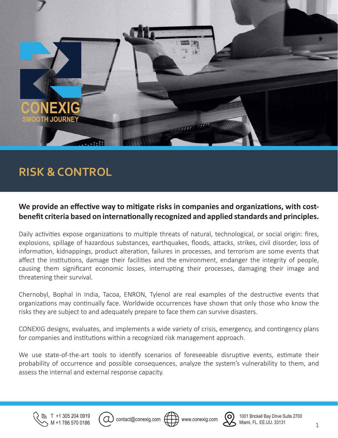

# **RISK & CONTROL**

### **We provide an effective way to mitigate risks in companies and organizations, with costbenefit criteria based on internationally recognized and applied standards and principles.**

Daily activities expose organizations to multiple threats of natural, technological, or social origin: fires, explosions, spillage of hazardous substances, earthquakes, floods, attacks, strikes, civil disorder, loss of information, kidnappings, product alteration, failures in processes, and terrorism are some events that affect the institutions, damage their facilities and the environment, endanger the integrity of people, causing them significant economic losses, interrupting their processes, damaging their image and threatening their survival.

Chernobyl, Bophal in India, Tacoa, ENRON, Tylenol are real examples of the destructive events that organizations may continually face. Worldwide occurrences have shown that only those who know the risks they are subject to and adequately prepare to face them can survive disasters.

CONEXIG designs, evaluates, and implements a wide variety of crisis, emergency, and contingency plans for companies and institutions within a recognized risk management approach.

We use state-of-the-art tools to identify scenarios of foreseeable disruptive events, estimate their probability of occurrence and possible consequences, analyze the system's vulnerability to them, and assess the internal and external response capacity.









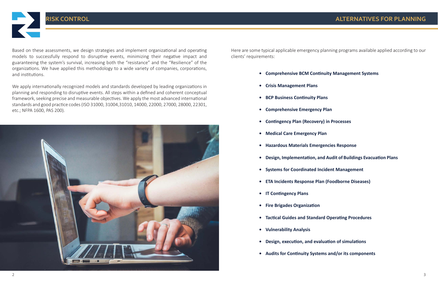**RISK CONTROL**

- **• Comprehensive BCM Continuity Management Systems**
- **• Crisis Management Plans**
- **• BCP Business Continuity Plans**
- **• Comprehensive Emergency Plan**
- **• Contingency Plan (Recovery) in Processes**
- **• Medical Care Emergency Plan**
- **• Hazardous Materials Emergencies Response**
- **• Design, Implementation, and Audit of Buildings Evacuation Plans**
- **• Systems for Coordinated Incident Management**
- **• ETA Incidents Response Plan (Foodborne Diseases)**
- **• IT Contingency Plans**
- **• Fire Brigades Organization**
- **• Tactical Guides and Standard Operating Procedures**
- **• Vulnerability Analysis**
- **• Design, execution, and evaluation of simulations**
- **• Audits for Continuity Systems and/or its components**

Based on these assessments, we design strategies and implement organizational and operating models to successfully respond to disruptive events, minimizing their negative impact and guaranteeing the system's survival, increasing both the "resistance" and the "Resilience" of the organizations. We have applied this methodology to a wide variety of companies, corporations, and institutions.

We apply internationally recognized models and standards developed by leading organizations in planning and responding to disruptive events. All steps within a defined and coherent conceptual framework, seeking precise and measurable objectives. We apply the most advanced international standards and good practice codes (ISO 31000, 31004,31010, 14000, 22000, 27000, 28000, 22301, etc.; NFPA 1600, PAS 200).



Here are some typical applicable emergency planning programs available applied according to our clients' requirements:

## **ALTERNATIVES FOR PLANNING**

- 
- 
-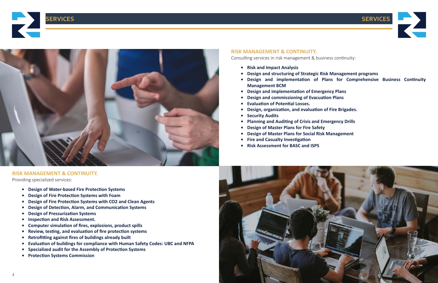





- **• Risk and Impact Analysis**
- **• Design and structuring of Strategic Risk Management programs**
- **• Design and implementation of Plans for Comprehensive Business Continuity Management BCM**
- **• Design and implementation of Emergency Plans**
- **• Design and commissioning of Evacuation Plans**
- **• Evaluation of Potential Losses.**
- **• Design, organization, and evaluation of Fire Brigades.**
- **• Security Audits**
- **• Planning and Auditing of Crisis and Emergency Drills**
- **• Design of Master Plans for Fire Safety**
- **• Design of Master Plans for Social Risk Management**
- **• Fire and Casualty Investigation**
- **• Risk Assessment for BASC and ISPS**

- **• Design of Water-based Fire Protection Systems**
- **• Design of Fire Protection Systems with Foam**
- **• Design of Fire Protection Systems with CO2 and Clean Agents**
- **• Design of Detection, Alarm, and Communication Systems**
- **• Design of Pressurization Systems**
- **• Inspection and Risk Assessment.**
- **• Computer simulation of fires, explosions, product spills**
- **• Review, testing, and evaluation of fire protection systems**
- **• Retrofitting against fires of buildings already built**
- **• Evaluation of buildings for compliance with Human Safety Codes: UBC and NFPA**
- **• Specialized audit for the Assembly of Protection Systems**
- **• Protection Systems Commission**

### **RISK MANAGEMENT & CONTINUITY.**

Consulting services in risk management & business continuity:





**RISK MANAGEMENT & CONTINUITY.**

Providing specialized services: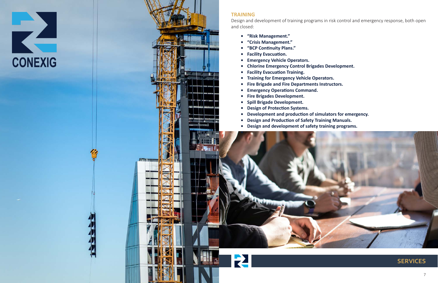- **• "Risk Management."**
- **• "Crisis Management."**
- **• "BCP Continuity Plans."**
- **• Facility Evacuation.**
- **• Emergency Vehicle Operators.**
- **• Chlorine Emergency Control Brigades Development.**
- **• Facility Evacuation Training.**
- **• Training for Emergency Vehicle Operators.**
- **• Fire Brigade and Fire Departments Instructors.**
- **• Emergency Operations Command.**
- **• Fire Brigades Development.**
- **• Spill Brigade Development.**
- **• Design of Protection Systems.**
- **• Development and production of simulators for emergency.**
- **• Design and Production of Safety Training Manuals.**
- **• Design and development of safety training programs.**







Design and development of training programs in risk control and emergency response, both open